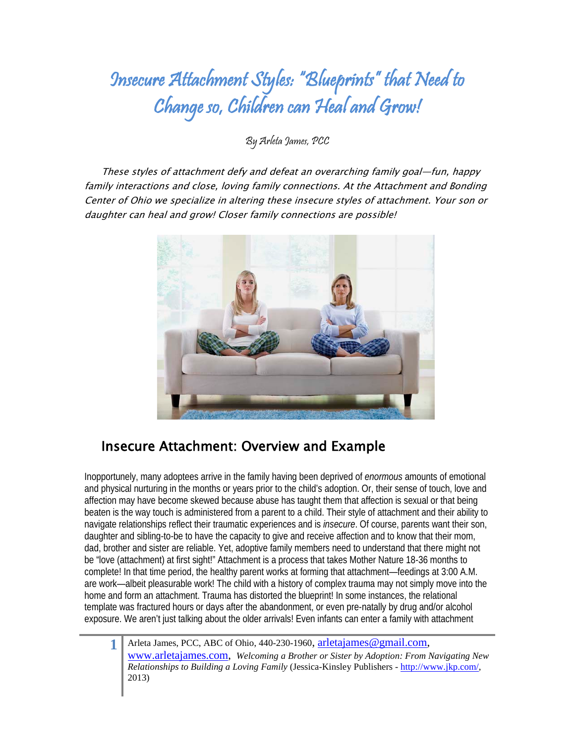# Insecure Attachment Styles: "Blueprints" that Need to Change so, Children can Heal and Grow!

By Arleta James, PCC

These styles of attachment defy and defeat an overarching family goal—fun, happy family interactions and close, loving family connections. At the Attachment and Bonding Center of Ohio we specialize in altering these insecure styles of attachment. Your son or daughter can heal and grow! Closer family connections are possible!



## Insecure Attachment: Overview and Example

Inopportunely, many adoptees arrive in the family having been deprived of *enormous* amounts of emotional and physical nurturing in the months or years prior to the child's adoption. Or, their sense of touch, love and affection may have become skewed because abuse has taught them that affection is sexual or that being beaten is the way touch is administered from a parent to a child. Their style of attachment and their ability to navigate relationships reflect their traumatic experiences and is *[insecure](http://psychology.about.com/od/loveandattraction/ss/attachmentstyle_4.htm)*. Of course, parents want their son, daughter and sibling-to-be to have the capacity to give and receive affection and to know that their mom, dad, brother and sister are reliable. Yet, adoptive family members need to understand that there might not be "love (attachment) at first sight!" Attachment is a process that takes Mother Nature 18-36 months to complete! In that time period, the healthy parent works at forming that attachment—feedings at 3:00 A.M. are work—albeit pleasurable work! The child with a history of complex trauma may not simply move into the home and form an attachment. Trauma has distorted the blueprint! In some instances, the relational template was fractured hours or days after the abandonment, or even pre-natally by drug and/or alcohol exposure. We aren't just talking about the older arrivals! Even infants can enter a family with attachment

Arleta James, PCC, ABC of Ohio, 440-230-1960, [arletajames@gmail.com,](mailto:arletajames@gmail.com) [www.arletajames.com,](http://www.arletajames.com/) *Welcoming a Brother or Sister by Adoption: From Navigating New Relationships to Building a Loving Family* (Jessica-Kinsley Publishers - [http://www.jkp.com/,](http://www.jkp.com/) 2013)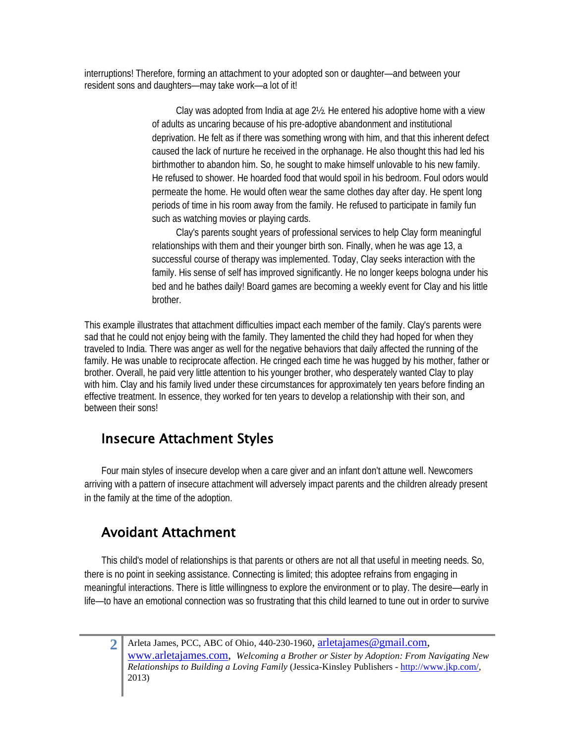interruptions! Therefore, forming an attachment to your adopted son or daughter—and between your resident sons and daughters—may take work—a lot of it!

> Clay was adopted from India at age 2½. He entered his adoptive home with a view of adults as uncaring because of his pre-adoptive abandonment and institutional deprivation. He felt as if there was something wrong with him, and that this inherent defect caused the lack of nurture he received in the orphanage. He also thought this had led his birthmother to abandon him. So, he sought to make himself unlovable to his new family. He refused to shower. He hoarded food that would spoil in his bedroom. Foul odors would permeate the home. He would often wear the same clothes day after day. He spent long periods of time in his room away from the family. He refused to participate in family fun such as watching movies or playing cards.

> Clay's parents sought years of professional services to help Clay form meaningful relationships with them and their younger birth son. Finally, when he was age 13, a successful course of therapy was implemented. Today, Clay seeks interaction with the family. His sense of self has improved significantly. He no longer keeps bologna under his bed and he bathes daily! Board games are becoming a weekly event for Clay and his little brother.

This example illustrates that attachment difficulties impact each member of the family. Clay's parents were sad that he could not enjoy being with the family. They lamented the child they had hoped for when they traveled to India. There was anger as well for the negative behaviors that daily affected the running of the family. He was unable to reciprocate affection. He cringed each time he was hugged by his mother, father or brother. Overall, he paid very little attention to his younger brother, who desperately wanted Clay to play with him. Clay and his family lived under these circumstances for approximately ten years before finding an effective treatment. In essence, they worked for ten years to develop a relationship with their son, and between their sons!

### Insecure Attachment Styles

Four main styles of insecure develop when a care giver and an infant don't attune well. Newcomers arriving with a pattern of insecure attachment will adversely impact parents and the children already present in the family at the time of the adoption.

### Avoidant Attachment

This child's model of relationships is that parents or others are not all that useful in meeting needs. So, there is no point in seeking assistance. Connecting is limited; this adoptee refrains from engaging in meaningful interactions. There is little willingness to explore the environment or to play. The desire—early in life—to have an emotional connection was so frustrating that this child learned to tune out in order to survive

2 Arleta James, PCC, ABC of Ohio, 440-230-1960, [arletajames@gmail.com,](mailto:arletajames@gmail.com) [www.arletajames.com,](http://www.arletajames.com/) *Welcoming a Brother or Sister by Adoption: From Navigating New Relationships to Building a Loving Family* (Jessica-Kinsley Publishers - [http://www.jkp.com/,](http://www.jkp.com/) 2013)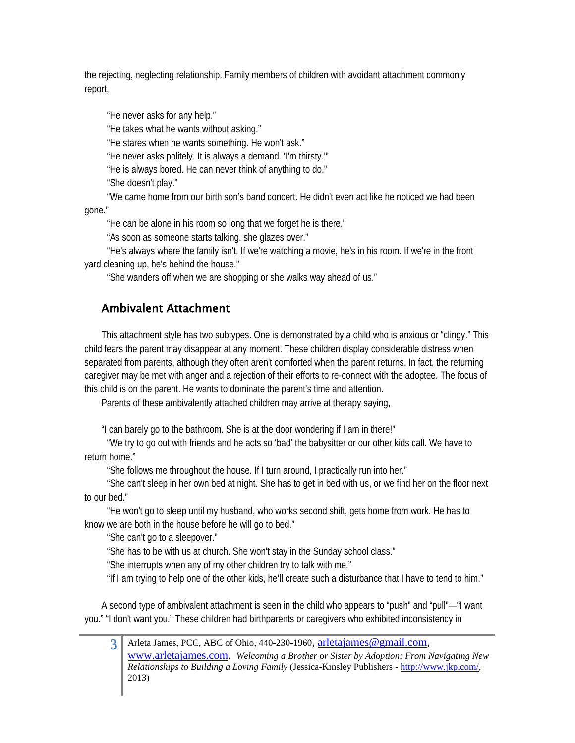the rejecting, neglecting relationship. Family members of children with avoidant attachment commonly report,

"He never asks for any help."

"He takes what he wants without asking."

"He stares when he wants something. He won't ask."

"He never asks politely. It is always a demand. 'I'm thirsty.'"

"He is always bored. He can never think of anything to do."

"She doesn't play."

"We came home from our birth son's band concert. He didn't even act like he noticed we had been gone."

"He can be alone in his room so long that we forget he is there."

"As soon as someone starts talking, she glazes over."

"He's always where the family isn't. If we're watching a movie, he's in his room. If we're in the front yard cleaning up, he's behind the house."

"She wanders off when we are shopping or she walks way ahead of us."

#### Ambivalent Attachment

This attachment style has two subtypes. One is demonstrated by a child who is anxious or "clingy." This child fears the parent may disappear at any moment. These children display considerable distress when separated from parents, although they often aren't comforted when the parent returns. In fact, the returning caregiver may be met with anger and a rejection of their efforts to re-connect with the adoptee. The focus of this child is on the parent. He wants to dominate the parent's time and attention.

Parents of these ambivalently attached children may arrive at therapy saying,

"I can barely go to the bathroom. She is at the door wondering if I am in there!"

"We try to go out with friends and he acts so 'bad' the babysitter or our other kids call. We have to return home."

"She follows me throughout the house. If I turn around, I practically run into her."

"She can't sleep in her own bed at night. She has to get in bed with us, or we find her on the floor next to our bed."

"He won't go to sleep until my husband, who works second shift, gets home from work. He has to know we are both in the house before he will go to bed."

"She can't go to a sleepover."

"She has to be with us at church. She won't stay in the Sunday school class."

"She interrupts when any of my other children try to talk with me."

"If I am trying to help one of the other kids, he'll create such a disturbance that I have to tend to him."

A second type of ambivalent attachment is seen in the child who appears to "push" and "pull"—"I want you." "I don't want you." These children had birthparents or caregivers who exhibited inconsistency in

| 3   Arleta James, PCC, ABC of Ohio, 440-230-1960, arletajames@gmail.com,                            |
|-----------------------------------------------------------------------------------------------------|
| www.arletajames.com, Welcoming a Brother or Sister by Adoption: From Navigating New                 |
| <i>Relationships to Building a Loving Family (Jessica-Kinsley Publishers - http://www.jkp.com/,</i> |
| 2013)                                                                                               |
|                                                                                                     |